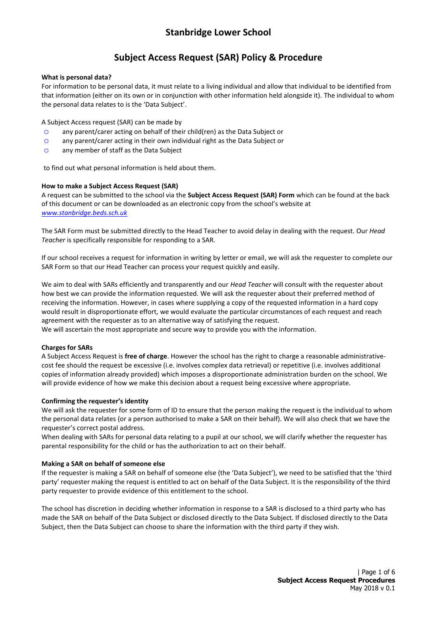# **Subject Access Request (SAR) Policy & Procedure**

### **What is personal data?**

For information to be personal data, it must relate to a living individual and allow that individual to be identified from that information (either on its own or in conjunction with other information held alongside it). The individual to whom the personal data relates to is the 'Data Subject'.

A Subject Access request (SAR) can be made by

- o any parent/carer acting on behalf of their child(ren) as the Data Subject or
- o any parent/carer acting in their own individual right as the Data Subject or
- o any member of staff as the Data Subject

to find out what personal information is held about them.

### **How to make a Subject Access Request (SAR)**

A request can be submitted to the school via the **Subject Access Request (SAR) Form** which can be found at the back of this document or can be downloaded as an electronic copy from the school's website at *[www.stanbridge.beds.sch.uk](http://www.stanbridge.beds.sch.uk/)*

The SAR Form must be submitted directly to the Head Teacher to avoid delay in dealing with the request. Our *Head Teacher* is specifically responsible for responding to a SAR.

If our school receives a request for information in writing by letter or email, we will ask the requester to complete our SAR Form so that our Head Teacher can process your request quickly and easily.

We aim to deal with SARs efficiently and transparently and our *Head Teacher* will consult with the requester about how best we can provide the information requested. We will ask the requester about their preferred method of receiving the information. However, in cases where supplying a copy of the requested information in a hard copy would result in disproportionate effort, we would evaluate the particular circumstances of each request and reach agreement with the requester as to an alternative way of satisfying the request.

We will ascertain the most appropriate and secure way to provide you with the information.

### **Charges for SARs**

A Subject Access Request is **free of charge**. However the school has the right to charge a reasonable administrativecost fee should the request be excessive (i.e. involves complex data retrieval) or repetitive (i.e. involves additional copies of information already provided) which imposes a disproportionate administration burden on the school. We will provide evidence of how we make this decision about a request being excessive where appropriate.

### **Confirming the requester's identity**

We will ask the requester for some form of ID to ensure that the person making the request is the individual to whom the personal data relates (or a person authorised to make a SAR on their behalf). We will also check that we have the requester's correct postal address.

When dealing with SARs for personal data relating to a pupil at our school, we will clarify whether the requester has parental responsibility for the child or has the authorization to act on their behalf.

### **Making a SAR on behalf of someone else**

If the requester is making a SAR on behalf of someone else (the 'Data Subject'), we need to be satisfied that the 'third party' requester making the request is entitled to act on behalf of the Data Subject. It is the responsibility of the third party requester to provide evidence of this entitlement to the school.

The school has discretion in deciding whether information in response to a SAR is disclosed to a third party who has made the SAR on behalf of the Data Subject or disclosed directly to the Data Subject. If disclosed directly to the Data Subject, then the Data Subject can choose to share the information with the third party if they wish.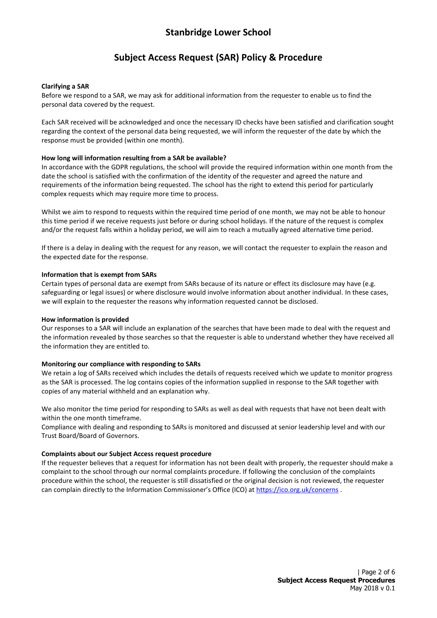## **Subject Access Request (SAR) Policy & Procedure**

### **Clarifying a SAR**

Before we respond to a SAR, we may ask for additional information from the requester to enable us to find the personal data covered by the request.

Each SAR received will be acknowledged and once the necessary ID checks have been satisfied and clarification sought regarding the context of the personal data being requested, we will inform the requester of the date by which the response must be provided (within one month).

### **How long will information resulting from a SAR be available?**

In accordance with the GDPR regulations, the school will provide the required information within one month from the date the school is satisfied with the confirmation of the identity of the requester and agreed the nature and requirements of the information being requested. The school has the right to extend this period for particularly complex requests which may require more time to process.

Whilst we aim to respond to requests within the required time period of one month, we may not be able to honour this time period if we receive requests just before or during school holidays. If the nature of the request is complex and/or the request falls within a holiday period, we will aim to reach a mutually agreed alternative time period.

If there is a delay in dealing with the request for any reason, we will contact the requester to explain the reason and the expected date for the response.

### **Information that is exempt from SARs**

Certain types of personal data are exempt from SARs because of its nature or effect its disclosure may have (e.g. safeguarding or legal issues) or where disclosure would involve information about another individual. In these cases, we will explain to the requester the reasons why information requested cannot be disclosed.

### **How information is provided**

Our responses to a SAR will include an explanation of the searches that have been made to deal with the request and the information revealed by those searches so that the requester is able to understand whether they have received all the information they are entitled to.

### **Monitoring our compliance with responding to SARs**

We retain a log of SARs received which includes the details of requests received which we update to monitor progress as the SAR is processed. The log contains copies of the information supplied in response to the SAR together with copies of any material withheld and an explanation why.

We also monitor the time period for responding to SARs as well as deal with requests that have not been dealt with within the one month timeframe.

Compliance with dealing and responding to SARs is monitored and discussed at senior leadership level and with our Trust Board/Board of Governors.

### **Complaints about our Subject Access request procedure**

If the requester believes that a request for information has not been dealt with properly, the requester should make a complaint to the school through our normal complaints procedure. If following the conclusion of the complaints procedure within the school, the requester is still dissatisfied or the original decision is not reviewed, the requester can complain directly to the Information Commissioner's Office (ICO) at <https://ico.org.uk/concerns> .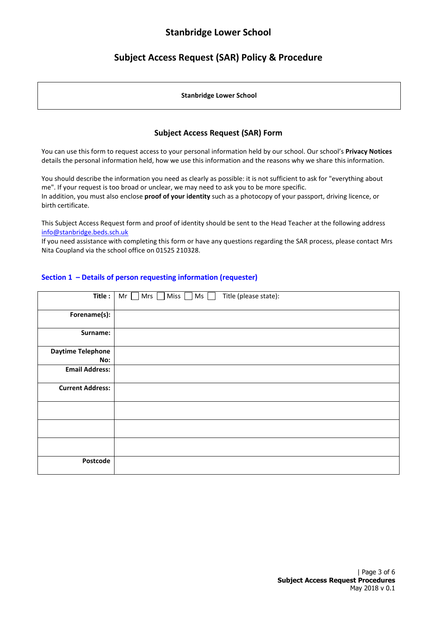# **Subject Access Request (SAR) Policy & Procedure**

#### **Stanbridge Lower School**

## **Subject Access Request (SAR) Form**

You can use this form to request access to your personal information held by our school. Our school's **Privacy Notices** details the personal information held, how we use this information and the reasons why we share this information.

You should describe the information you need as clearly as possible: it is not sufficient to ask for "everything about me". If your request is too broad or unclear, we may need to ask you to be more specific. In addition, you must also enclose **proof of your identity** such as a photocopy of your passport, driving licence, or birth certificate.

This Subject Access Request form and proof of identity should be sent to the Head Teacher at the following address [info@stanbridge.beds.sch.uk](mailto:info@stanbridge.beds.sch.uk)

If you need assistance with completing this form or have any questions regarding the SAR process, please contact Mrs Nita Coupland via the school office on 01525 210328.

### **Section 1 – Details of person requesting information (requester)**

| Title:                   | Title (please state):<br>Ms<br>Mr<br>Mrs<br>Miss $\Box$ |
|--------------------------|---------------------------------------------------------|
| Forename(s):             |                                                         |
| Surname:                 |                                                         |
| <b>Daytime Telephone</b> |                                                         |
| No:                      |                                                         |
| <b>Email Address:</b>    |                                                         |
| <b>Current Address:</b>  |                                                         |
|                          |                                                         |
|                          |                                                         |
|                          |                                                         |
| Postcode                 |                                                         |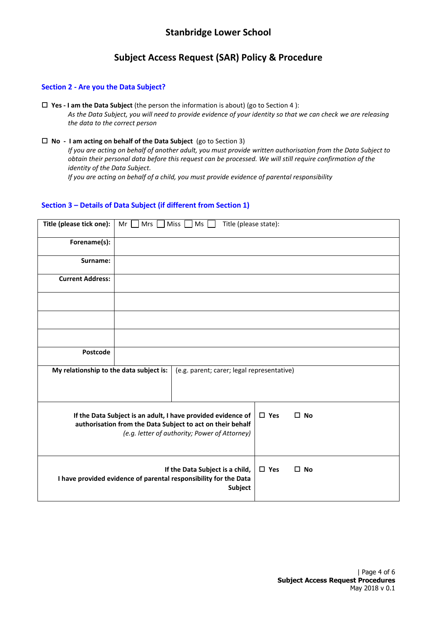# **Subject Access Request (SAR) Policy & Procedure**

### **Section 2 - Are you the Data Subject?**

- **Yes - I am the Data Subject** (the person the information is about) (go to Section 4 ): *As the Data Subject, you will need to provide evidence of your identity so that we can check we are releasing the data to the correct person*
- **No I am acting on behalf of the Data Subject** (go to Section 3)

*If you are acting on behalf of another adult, you must provide written authorisation from the Data Subject to obtain their personal data before this request can be processed. We will still require confirmation of the identity of the Data Subject.*

*If you are acting on behalf of a child, you must provide evidence of parental responsibility*

### **Section 3 – Details of Data Subject (if different from Section 1)**

| Title (please tick one):                                                                                                                                                    | Mrs<br>Miss<br>Ms<br>Title (please state):<br>Mr                                                    |                                            |                               |  |  |
|-----------------------------------------------------------------------------------------------------------------------------------------------------------------------------|-----------------------------------------------------------------------------------------------------|--------------------------------------------|-------------------------------|--|--|
| Forename(s):                                                                                                                                                                |                                                                                                     |                                            |                               |  |  |
| Surname:                                                                                                                                                                    |                                                                                                     |                                            |                               |  |  |
| <b>Current Address:</b>                                                                                                                                                     |                                                                                                     |                                            |                               |  |  |
|                                                                                                                                                                             |                                                                                                     |                                            |                               |  |  |
|                                                                                                                                                                             |                                                                                                     |                                            |                               |  |  |
|                                                                                                                                                                             |                                                                                                     |                                            |                               |  |  |
| Postcode                                                                                                                                                                    |                                                                                                     |                                            |                               |  |  |
| My relationship to the data subject is:                                                                                                                                     |                                                                                                     | (e.g. parent; carer; legal representative) |                               |  |  |
| If the Data Subject is an adult, I have provided evidence of<br>authorisation from the Data Subject to act on their behalf<br>(e.g. letter of authority; Power of Attorney) |                                                                                                     |                                            | $\square$ Yes<br>$\square$ No |  |  |
|                                                                                                                                                                             | If the Data Subject is a child,<br>I have provided evidence of parental responsibility for the Data | $\square$ Yes<br>$\square$ No              |                               |  |  |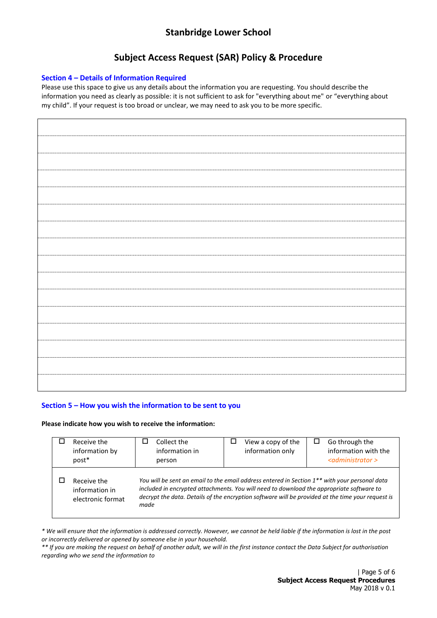# **Subject Access Request (SAR) Policy & Procedure**

### **Section 4 – Details of Information Required**

Please use this space to give us any details about the information you are requesting. You should describe the information you need as clearly as possible: it is not sufficient to ask for "everything about me" or "everything about my child". If your request is too broad or unclear, we may need to ask you to be more specific.

## **Section 5 – How you wish the information to be sent to you**

### **Please indicate how you wish to receive the information:**

| Receive the<br>information by<br>post*             | Collect the<br>information in<br>person                                                                                                                                                                                                                                                                            | View a copy of the<br>information only | Go through the<br>information with the<br>$\leq$ administrator > |  |
|----------------------------------------------------|--------------------------------------------------------------------------------------------------------------------------------------------------------------------------------------------------------------------------------------------------------------------------------------------------------------------|----------------------------------------|------------------------------------------------------------------|--|
| Receive the<br>information in<br>electronic format | You will be sent an email to the email address entered in Section 1 <sup>**</sup> with your personal data<br>included in encrypted attachments. You will need to download the appropriate software to<br>decrypt the data. Details of the encryption software will be provided at the time your request is<br>made |                                        |                                                                  |  |

*\* We will ensure that the information is addressed correctly. However, we cannot be held liable if the information is lost in the post or incorrectly delivered or opened by someone else in your household.* 

*\*\* If you are making the request on behalf of another adult, we will in the first instance contact the Data Subject for authorisation regarding who we send the information to*